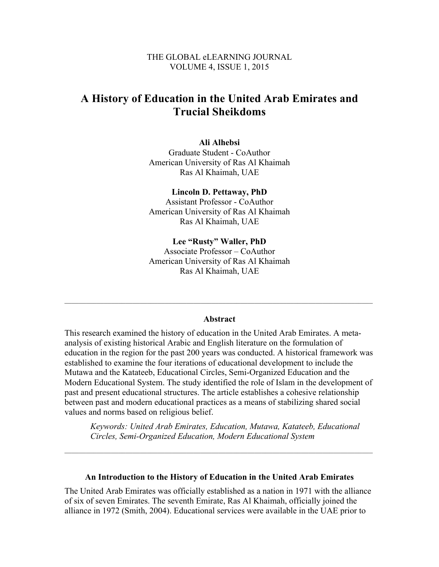#### THE GLOBAL eLEARNING JOURNAL VOLUME 4, ISSUE 1, 2015

# **A History of Education in the United Arab Emirates and Trucial Sheikdoms**

#### **Ali Alhebsi**

Graduate Student - CoAuthor American University of Ras Al Khaimah Ras Al Khaimah, UAE

**Lincoln D. Pettaway, PhD** Assistant Professor - CoAuthor American University of Ras Al Khaimah Ras Al Khaimah, UAE

#### **Lee "Rusty" Waller, PhD**

Associate Professor – CoAuthor American University of Ras Al Khaimah Ras Al Khaimah, UAE

#### **Abstract**

This research examined the history of education in the United Arab Emirates. A metaanalysis of existing historical Arabic and English literature on the formulation of education in the region for the past 200 years was conducted. A historical framework was established to examine the four iterations of educational development to include the Mutawa and the Katateeb, Educational Circles, Semi-Organized Education and the Modern Educational System. The study identified the role of Islam in the development of past and present educational structures. The article establishes a cohesive relationship between past and modern educational practices as a means of stabilizing shared social values and norms based on religious belief.

*Keywords: United Arab Emirates, Education, Mutawa, Katateeb, Educational Circles, Semi-Organized Education, Modern Educational System*

#### **An Introduction to the History of Education in the United Arab Emirates**

 $\mathcal{L}_\text{max}$ 

The United Arab Emirates was officially established as a nation in 1971 with the alliance of six of seven Emirates. The seventh Emirate, Ras Al Khaimah, officially joined the alliance in 1972 (Smith, 2004). Educational services were available in the UAE prior to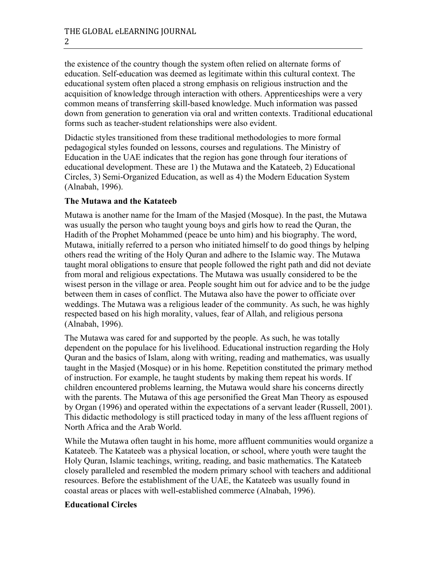the existence of the country though the system often relied on alternate forms of education. Self-education was deemed as legitimate within this cultural context. The educational system often placed a strong emphasis on religious instruction and the acquisition of knowledge through interaction with others. Apprenticeships were a very common means of transferring skill-based knowledge. Much information was passed down from generation to generation via oral and written contexts. Traditional educational forms such as teacher-student relationships were also evident.

Didactic styles transitioned from these traditional methodologies to more formal pedagogical styles founded on lessons, courses and regulations. The Ministry of Education in the UAE indicates that the region has gone through four iterations of educational development. These are 1) the Mutawa and the Katateeb, 2) Educational Circles, 3) Semi-Organized Education, as well as 4) the Modern Education System (Alnabah, 1996).

### **The Mutawa and the Katateeb**

Mutawa is another name for the Imam of the Masjed (Mosque). In the past, the Mutawa was usually the person who taught young boys and girls how to read the Quran, the Hadith of the Prophet Mohammed (peace be unto him) and his biography. The word, Mutawa, initially referred to a person who initiated himself to do good things by helping others read the writing of the Holy Quran and adhere to the Islamic way. The Mutawa taught moral obligations to ensure that people followed the right path and did not deviate from moral and religious expectations. The Mutawa was usually considered to be the wisest person in the village or area. People sought him out for advice and to be the judge between them in cases of conflict. The Mutawa also have the power to officiate over weddings. The Mutawa was a religious leader of the community. As such, he was highly respected based on his high morality, values, fear of Allah, and religious persona (Alnabah, 1996).

The Mutawa was cared for and supported by the people. As such, he was totally dependent on the populace for his livelihood. Educational instruction regarding the Holy Quran and the basics of Islam, along with writing, reading and mathematics, was usually taught in the Masjed (Mosque) or in his home. Repetition constituted the primary method of instruction. For example, he taught students by making them repeat his words. If children encountered problems learning, the Mutawa would share his concerns directly with the parents. The Mutawa of this age personified the Great Man Theory as espoused by Organ (1996) and operated within the expectations of a servant leader (Russell, 2001). This didactic methodology is still practiced today in many of the less affluent regions of North Africa and the Arab World.

While the Mutawa often taught in his home, more affluent communities would organize a Katateeb. The Katateeb was a physical location, or school, where youth were taught the Holy Quran, Islamic teachings, writing, reading, and basic mathematics. The Katateeb closely paralleled and resembled the modern primary school with teachers and additional resources. Before the establishment of the UAE, the Katateeb was usually found in coastal areas or places with well-established commerce (Alnabah, 1996).

#### **Educational Circles**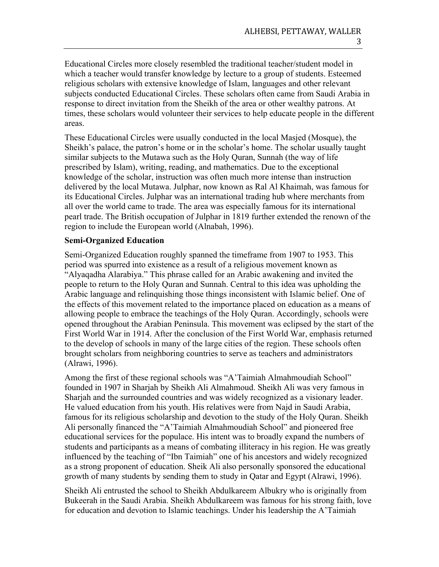Educational Circles more closely resembled the traditional teacher/student model in which a teacher would transfer knowledge by lecture to a group of students. Esteemed religious scholars with extensive knowledge of Islam, languages and other relevant subjects conducted Educational Circles. These scholars often came from Saudi Arabia in response to direct invitation from the Sheikh of the area or other wealthy patrons. At times, these scholars would volunteer their services to help educate people in the different areas.

These Educational Circles were usually conducted in the local Masjed (Mosque), the Sheikh's palace, the patron's home or in the scholar's home. The scholar usually taught similar subjects to the Mutawa such as the Holy Quran, Sunnah (the way of life prescribed by Islam), writing, reading, and mathematics. Due to the exceptional knowledge of the scholar, instruction was often much more intense than instruction delivered by the local Mutawa. Julphar, now known as Ral Al Khaimah, was famous for its Educational Circles. Julphar was an international trading hub where merchants from all over the world came to trade. The area was especially famous for its international pearl trade. The British occupation of Julphar in 1819 further extended the renown of the region to include the European world (Alnabah, 1996).

### **Semi-Organized Education**

Semi-Organized Education roughly spanned the timeframe from 1907 to 1953. This period was spurred into existence as a result of a religious movement known as "Alyaqadha Alarabiya." This phrase called for an Arabic awakening and invited the people to return to the Holy Quran and Sunnah. Central to this idea was upholding the Arabic language and relinquishing those things inconsistent with Islamic belief. One of the effects of this movement related to the importance placed on education as a means of allowing people to embrace the teachings of the Holy Quran. Accordingly, schools were opened throughout the Arabian Peninsula. This movement was eclipsed by the start of the First World War in 1914. After the conclusion of the First World War, emphasis returned to the develop of schools in many of the large cities of the region. These schools often brought scholars from neighboring countries to serve as teachers and administrators (Alrawi, 1996).

Among the first of these regional schools was "A'Taimiah Almahmoudiah School" founded in 1907 in Sharjah by Sheikh Ali Almahmoud. Sheikh Ali was very famous in Sharjah and the surrounded countries and was widely recognized as a visionary leader. He valued education from his youth. His relatives were from Najd in Saudi Arabia, famous for its religious scholarship and devotion to the study of the Holy Quran. Sheikh Ali personally financed the "A'Taimiah Almahmoudiah School" and pioneered free educational services for the populace. His intent was to broadly expand the numbers of students and participants as a means of combating illiteracy in his region. He was greatly influenced by the teaching of "Ibn Taimiah" one of his ancestors and widely recognized as a strong proponent of education. Sheik Ali also personally sponsored the educational growth of many students by sending them to study in Qatar and Egypt (Alrawi, 1996).

Sheikh Ali entrusted the school to Sheikh Abdulkareem Albukry who is originally from Bukeerah in the Saudi Arabia. Sheikh Abdulkareem was famous for his strong faith, love for education and devotion to Islamic teachings. Under his leadership the A'Taimiah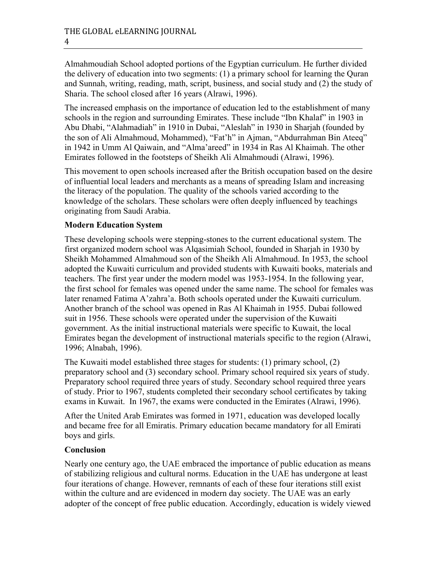Almahmoudiah School adopted portions of the Egyptian curriculum. He further divided the delivery of education into two segments: (1) a primary school for learning the Quran and Sunnah, writing, reading, math, script, business, and social study and (2) the study of Sharia. The school closed after 16 years (Alrawi, 1996).

The increased emphasis on the importance of education led to the establishment of many schools in the region and surrounding Emirates. These include "Ibn Khalaf" in 1903 in Abu Dhabi, "Alahmadiah" in 1910 in Dubai, "Aleslah" in 1930 in Sharjah (founded by the son of Ali Almahmoud, Mohammed), "Fat'h" in Ajman, "Abdurrahman Bin Ateeq" in 1942 in Umm Al Qaiwain, and "Alma'areed" in 1934 in Ras Al Khaimah. The other Emirates followed in the footsteps of Sheikh Ali Almahmoudi (Alrawi, 1996).

This movement to open schools increased after the British occupation based on the desire of influential local leaders and merchants as a means of spreading Islam and increasing the literacy of the population. The quality of the schools varied according to the knowledge of the scholars. These scholars were often deeply influenced by teachings originating from Saudi Arabia.

# **Modern Education System**

These developing schools were stepping-stones to the current educational system. The first organized modern school was Alqasimiah School, founded in Sharjah in 1930 by Sheikh Mohammed Almahmoud son of the Sheikh Ali Almahmoud. In 1953, the school adopted the Kuwaiti curriculum and provided students with Kuwaiti books, materials and teachers. The first year under the modern model was 1953-1954. In the following year, the first school for females was opened under the same name. The school for females was later renamed Fatima A'zahra'a. Both schools operated under the Kuwaiti curriculum. Another branch of the school was opened in Ras Al Khaimah in 1955. Dubai followed suit in 1956. These schools were operated under the supervision of the Kuwaiti government. As the initial instructional materials were specific to Kuwait, the local Emirates began the development of instructional materials specific to the region (Alrawi, 1996; Alnabah, 1996).

The Kuwaiti model established three stages for students: (1) primary school, (2) preparatory school and (3) secondary school. Primary school required six years of study. Preparatory school required three years of study. Secondary school required three years of study. Prior to 1967, students completed their secondary school certificates by taking exams in Kuwait. In 1967, the exams were conducted in the Emirates (Alrawi, 1996).

After the United Arab Emirates was formed in 1971, education was developed locally and became free for all Emiratis. Primary education became mandatory for all Emirati boys and girls.

## **Conclusion**

Nearly one century ago, the UAE embraced the importance of public education as means of stabilizing religious and cultural norms. Education in the UAE has undergone at least four iterations of change. However, remnants of each of these four iterations still exist within the culture and are evidenced in modern day society. The UAE was an early adopter of the concept of free public education. Accordingly, education is widely viewed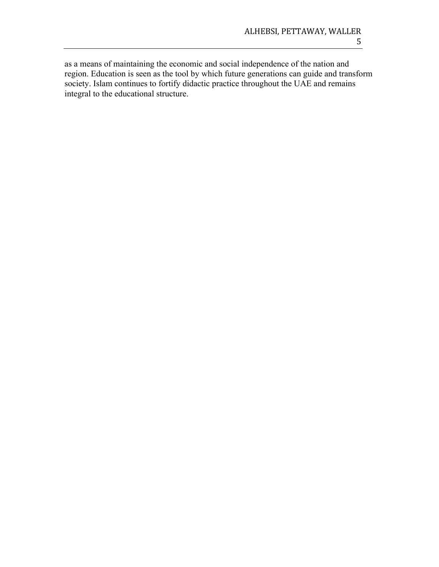as a means of maintaining the economic and social independence of the nation and region. Education is seen as the tool by which future generations can guide and transform society. Islam continues to fortify didactic practice throughout the UAE and remains integral to the educational structure.